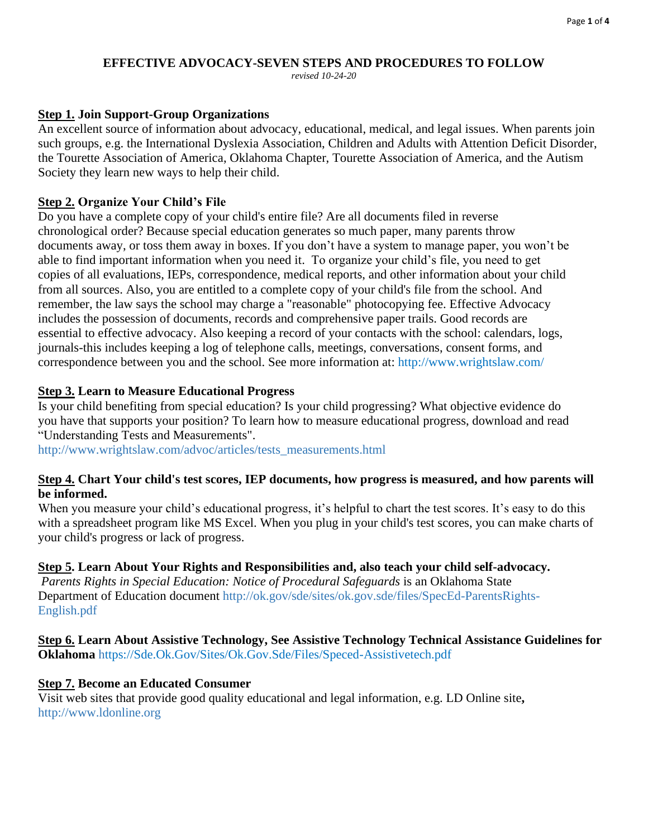#### **EFFECTIVE ADVOCACY-SEVEN STEPS AND PROCEDURES TO FOLLOW**

*revised 10-24-20*

### **Step 1. Join Support-Group Organizations**

An excellent source of information about advocacy, educational, medical, and legal issues. When parents join such groups, e.g. the International Dyslexia Association, Children and Adults with Attention Deficit Disorder, the Tourette Association of America, Oklahoma Chapter, Tourette Association of America, and the Autism Society they learn new ways to help their child.

### **Step 2. Organize Your Child's File**

Do you have a complete copy of your child's entire file? Are all documents filed in reverse chronological order? Because special education generates so much paper, many parents throw documents away, or toss them away in boxes. If you don't have a system to manage paper, you won't be able to find important information when you need it. To organize your child's file, you need to get copies of all evaluations, IEPs, correspondence, medical reports, and other information about your child from all sources. Also, you are entitled to a complete copy of your child's file from the school. And remember, the law says the school may charge a "reasonable" photocopying fee. Effective Advocacy includes the possession of documents, records and comprehensive paper trails. Good records are essential to effective advocacy. Also keeping a record of your contacts with the school: calendars, logs, journals-this includes keeping a log of telephone calls, meetings, conversations, consent forms, and correspondence between you and the school. See more information at:<http://www.wrightslaw.com/>

### **Step 3. Learn to Measure Educational Progress**

Is your child benefiting from special education? Is your child progressing? What objective evidence do you have that supports your position? To learn how to measure educational progress, download and read "Understanding Tests and Measurements".

[http://www.wrightslaw.com/advoc/articles/tests\\_measurements.html](http://www.wrightslaw.com/advoc/articles/tests_measurements.html)

#### **Step 4. Chart Your child's test scores, IEP documents, how progress is measured, and how parents will be informed.**

When you measure your child's educational progress, it's helpful to chart the test scores. It's easy to do this with a spreadsheet program like MS Excel. When you plug in your child's test scores, you can make charts of your child's progress or lack of progress.

## **Step 5. Learn About Your Rights and Responsibilities and, also teach your child self-advocacy.**

*Parents Rights in Special Education: Notice of Procedural Safeguards* is an Oklahoma State Department of Education document [http://ok.gov/sde/sites/ok.gov.sde/files/SpecEd-ParentsRights-](http://ok.gov/sde/sites/ok.gov.sde/files/SpecEd-ParentsRights-English.pdf)[English.pdf](http://ok.gov/sde/sites/ok.gov.sde/files/SpecEd-ParentsRights-English.pdf) 

#### **Step 6. Learn About Assistive Technology, See Assistive Technology Technical Assistance Guidelines for Oklahoma** [https://Sde.Ok.Gov/Sites/Ok.Gov.Sde/Files/Speced-Assistivetech.pdf](https://sde.ok.gov/sites/ok.gov.sde/files/SpecEd-AssistiveTech.pdf)

#### **Step 7. Become an Educated Consumer**

Visit web sites that provide good quality educational and legal information, e.g. LD Online site**,**  [http://www.ldonline.org](http://www.ldonline.org/)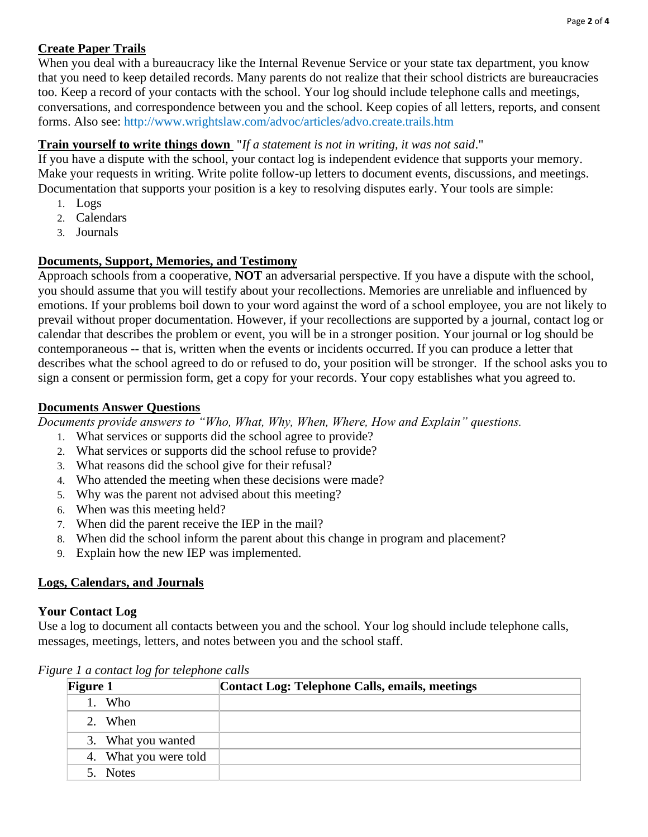# **Create Paper Trails**

When you deal with a bureaucracy like the Internal Revenue Service or your state tax department, you know that you need to keep detailed records. Many parents do not realize that their school districts are bureaucracies too. Keep a record of your contacts with the school. Your log should include telephone calls and meetings, conversations, and correspondence between you and the school. Keep copies of all letters, reports, and consent forms. Also see:<http://www.wrightslaw.com/advoc/articles/advo.create.trails.htm>

# **Train yourself to write things down** "*If a statement is not in writing, it was not said*."

If you have a dispute with the school, your contact log is independent evidence that supports your memory. Make your requests in writing. Write polite follow-up letters to document events, discussions, and meetings. Documentation that supports your position is a key to resolving disputes early. Your tools are simple:

- 1. Logs
- 2. Calendars
- 3. Journals

# **Documents, Support, Memories, and Testimony**

Approach schools from a cooperative, **NOT** an adversarial perspective. If you have a dispute with the school, you should assume that you will testify about your recollections. Memories are unreliable and influenced by emotions. If your problems boil down to your word against the word of a school employee, you are not likely to prevail without proper documentation. However, if your recollections are supported by a journal, contact log or calendar that describes the problem or event, you will be in a stronger position. Your journal or log should be contemporaneous -- that is, written when the events or incidents occurred. If you can produce a letter that describes what the school agreed to do or refused to do, your position will be stronger. If the school asks you to sign a consent or permission form, get a copy for your records. Your copy establishes what you agreed to.

## **Documents Answer Questions**

*Documents provide answers to "Who, What, Why, When, Where, How and Explain" questions.*

- 1. What services or supports did the school agree to provide?
- 2. What services or supports did the school refuse to provide?
- 3. What reasons did the school give for their refusal?
- 4. Who attended the meeting when these decisions were made?
- 5. Why was the parent not advised about this meeting?
- 6. When was this meeting held?
- 7. When did the parent receive the IEP in the mail?
- 8. When did the school inform the parent about this change in program and placement?
- 9. Explain how the new IEP was implemented.

# **Logs, Calendars, and Journals**

## **Your Contact Log**

Use a log to document all contacts between you and the school. Your log should include telephone calls, messages, meetings, letters, and notes between you and the school staff.

| <b>Figure 1</b> |                       | Contact Log: Telephone Calls, emails, meetings |
|-----------------|-----------------------|------------------------------------------------|
|                 | Who                   |                                                |
|                 | 2. When               |                                                |
|                 | 3. What you wanted    |                                                |
|                 | 4. What you were told |                                                |
|                 | 5. Notes              |                                                |

*Figure 1 a contact log for telephone calls*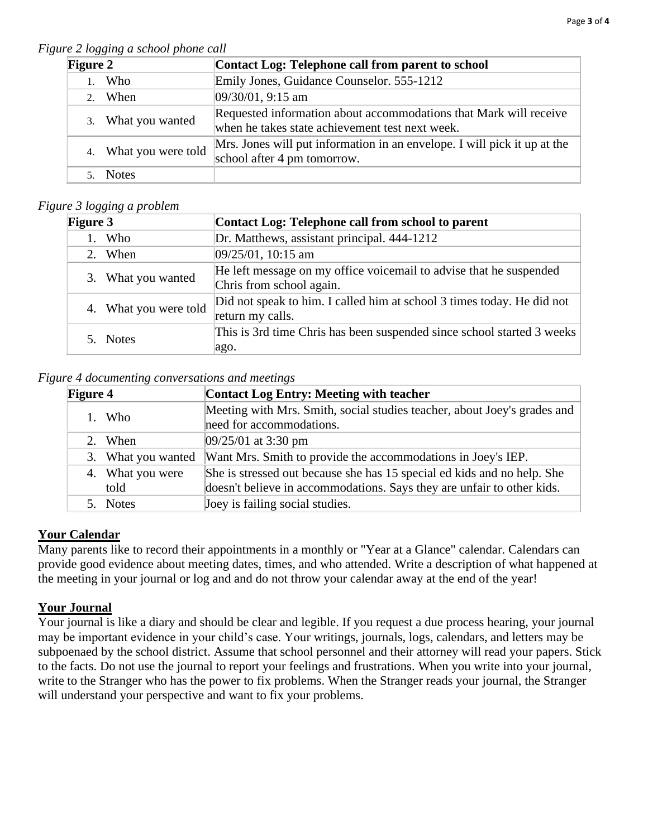*Figure 2 logging a school phone call*

| ,,,,,,,,<br><b>Figure 2</b> |                       | Contact Log: Telephone call from parent to school                                                                    |
|-----------------------------|-----------------------|----------------------------------------------------------------------------------------------------------------------|
|                             | 1. Who                | Emily Jones, Guidance Counselor. 555-1212                                                                            |
|                             | 2. When               | $[09/30/01, 9:15$ am                                                                                                 |
|                             | 3. What you wanted    | Requested information about accommodations that Mark will receive<br>when he takes state achievement test next week. |
|                             | 4. What you were told | Mrs. Jones will put information in an envelope. I will pick it up at the<br>school after 4 pm tomorrow.              |
|                             | <b>Notes</b>          |                                                                                                                      |

### *Figure 3 logging a problem*

| <b>Figure 3</b>       | Contact Log: Telephone call from school to parent                                              |
|-----------------------|------------------------------------------------------------------------------------------------|
| 1. Who                | Dr. Matthews, assistant principal. 444-1212                                                    |
| 2. When               | $ 09/25/01, 10:15$ am                                                                          |
| 3. What you wanted    | He left message on my office voicemail to advise that he suspended<br>Chris from school again. |
| 4. What you were told | Did not speak to him. I called him at school 3 times today. He did not<br>return my calls.     |
| 5. Notes              | This is 3rd time Chris has been suspended since school started 3 weeks<br>ago.                 |
|                       |                                                                                                |

*Figure 4 documenting conversations and meetings* 

| <b>Figure 4</b> |                    | <b>Contact Log Entry: Meeting with teacher</b>                           |
|-----------------|--------------------|--------------------------------------------------------------------------|
|                 | 1. Who             | Meeting with Mrs. Smith, social studies teacher, about Joey's grades and |
|                 |                    | need for accommodations.                                                 |
|                 | 2. When            | $09/25/01$ at 3:30 pm                                                    |
|                 | 3. What you wanted | Want Mrs. Smith to provide the accommodations in Joey's IEP.             |
|                 | 4. What you were   | She is stressed out because she has 15 special ed kids and no help. She  |
|                 | told               | doesn't believe in accommodations. Says they are unfair to other kids.   |
|                 | 5. Notes           | Joey is failing social studies.                                          |

## **Your Calendar**

Many parents like to record their appointments in a monthly or "Year at a Glance" calendar. Calendars can provide good evidence about meeting dates, times, and who attended. Write a description of what happened at the meeting in your journal or log and and do not throw your calendar away at the end of the year!

# **Your Journal**

Your journal is like a diary and should be clear and legible. If you request a due process hearing, your journal may be important evidence in your child's case. Your writings, journals, logs, calendars, and letters may be subpoenaed by the school district. Assume that school personnel and their attorney will read your papers. Stick to the facts. Do not use the journal to report your feelings and frustrations. When you write into your journal, write to the Stranger who has the power to fix problems. When the Stranger reads your journal, the Stranger will understand your perspective and want to fix your problems.